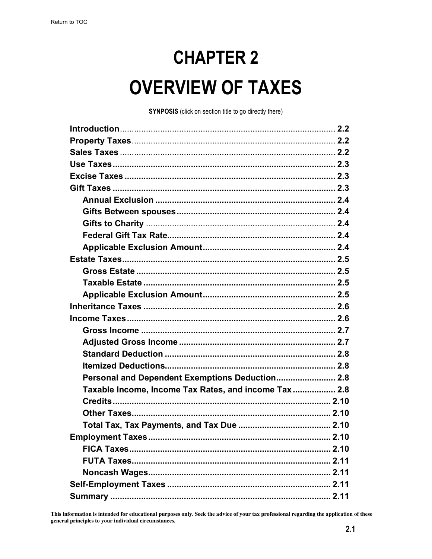# **CHAPTER 2 OVERVIEW OF TAXES**

**SYNPOSIS** (click on section title to go directly there)

| Personal and Dependent Exemptions Deduction 2.8      |
|------------------------------------------------------|
| Taxable Income, Income Tax Rates, and income Tax 2.8 |
|                                                      |
|                                                      |
|                                                      |
|                                                      |
|                                                      |
|                                                      |
|                                                      |
|                                                      |

This information is intended for educational purposes only. Seek the advice of your tax professional regarding the application of these general principles to your individual circumstances.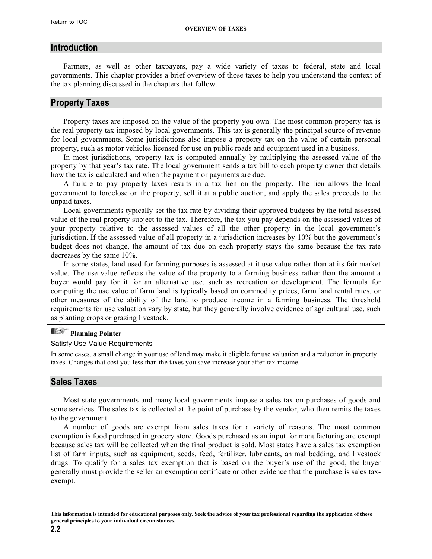#### <span id="page-1-0"></span>**Introduction**

Farmers, as well as other taxpayers, pay a wide variety of taxes to federal, state and local governments. This chapter provides a brief overview of those taxes to help you understand the context of the tax planning discussed in the chapters that follow.

#### **Property Taxes**

Property taxes are imposed on the value of the property you own. The most common property tax is the real property tax imposed by local governments. This tax is generally the principal source of revenue for local governments. Some jurisdictions also impose a property tax on the value of certain personal property, such as motor vehicles licensed for use on public roads and equipment used in a business.

In most jurisdictions, property tax is computed annually by multiplying the assessed value of the property by that year's tax rate. The local government sends a tax bill to each property owner that details how the tax is calculated and when the payment or payments are due.

A failure to pay property taxes results in a tax lien on the property. The lien allows the local government to foreclose on the property, sell it at a public auction, and apply the sales proceeds to the unpaid taxes.

Local governments typically set the tax rate by dividing their approved budgets by the total assessed value of the real property subject to the tax. Therefore, the tax you pay depends on the assessed values of your property relative to the assessed values of all the other property in the local government's jurisdiction. If the assessed value of all property in a jurisdiction increases by 10% but the government's budget does not change, the amount of tax due on each property stays the same because the tax rate decreases by the same 10%.

In some states, land used for farming purposes is assessed at it use value rather than at its fair market value. The use value reflects the value of the property to a farming business rather than the amount a buyer would pay for it for an alternative use, such as recreation or development. The formula for computing the use value of farm land is typically based on commodity prices, farm land rental rates, or other measures of the ability of the land to produce income in a farming business. The threshold requirements for use valuation vary by state, but they generally involve evidence of agricultural use, such as planting crops or grazing livestock.

#### E **Planning Pointer**

#### Satisfy Use-Value Requirements

In some cases, a small change in your use of land may make it eligible for use valuation and a reduction in property taxes. Changes that cost you less than the taxes you save increase your after-tax income.

#### **Sales Taxes**

Most state governments and many local governments impose a sales tax on purchases of goods and some services. The sales tax is collected at the point of purchase by the vendor, who then remits the taxes to the government.

A number of goods are exempt from sales taxes for a variety of reasons. The most common exemption is food purchased in grocery store. Goods purchased as an input for manufacturing are exempt because sales tax will be collected when the final product is sold. Most states have a sales tax exemption list of farm inputs, such as equipment, seeds, feed, fertilizer, lubricants, animal bedding, and livestock drugs. To qualify for a sales tax exemption that is based on the buyer's use of the good, the buyer generally must provide the seller an exemption certificate or other evidence that the purchase is sales taxexempt.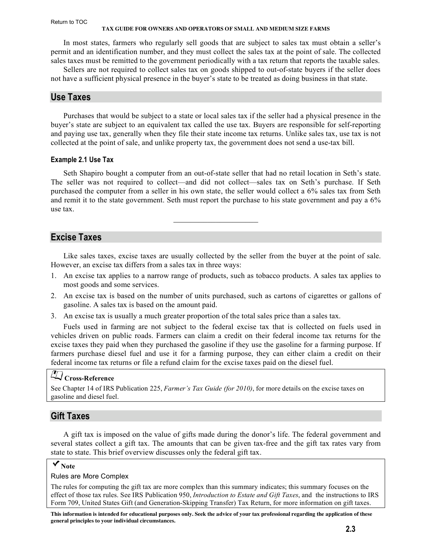#### <span id="page-2-0"></span>Return to TOC

#### **TAX GUIDE FOR OWNERS AND OPERATORS OF SMALL AND MEDIUM SIZE FARMS**

In most states, farmers who regularly sell goods that are subject to sales tax must obtain a seller's permit and an identification number, and they must collect the sales tax at the point of sale. The collected sales taxes must be remitted to the government periodically with a tax return that reports the taxable sales.

Sellers are not required to collect sales tax on goods shipped to out-of-state buyers if the seller does not have a sufficient physical presence in the buyer's state to be treated as doing business in that state.

#### **Use Taxes**

Purchases that would be subject to a state or local sales tax if the seller had a physical presence in the buyer's state are subject to an equivalent tax called the use tax. Buyers are responsible for self-reporting and paying use tax, generally when they file their state income tax returns. Unlike sales tax, use tax is not collected at the point of sale, and unlike property tax, the government does not send a use-tax bill.

#### **Example 2.1 Use Tax**

Seth Shapiro bought a computer from an out-of-state seller that had no retail location in Seth's state. The seller was not required to collect—and did not collect—sales tax on Seth's purchase. If Seth purchased the computer from a seller in his own state, the seller would collect a 6% sales tax from Seth and remit it to the state government. Seth must report the purchase to his state government and pay a 6% use tax.

 $\mathcal{L}_\text{max}$ 

#### **Excise Taxes**

Like sales taxes, excise taxes are usually collected by the seller from the buyer at the point of sale. However, an excise tax differs from a sales tax in three ways:

- 1. An excise tax applies to a narrow range of products, such as tobacco products. A sales tax applies to most goods and some services.
- 2. An excise tax is based on the number of units purchased, such as cartons of cigarettes or gallons of gasoline. A sales tax is based on the amount paid.
- 3. An excise tax is usually a much greater proportion of the total sales price than a sales tax.

Fuels used in farming are not subject to the federal excise tax that is collected on fuels used in vehicles driven on public roads. Farmers can claim a credit on their federal income tax returns for the excise taxes they paid when they purchased the gasoline if they use the gasoline for a farming purpose. If farmers purchase diesel fuel and use it for a farming purpose, they can either claim a credit on their federal income tax returns or file a refund claim for the excise taxes paid on the diesel fuel.

# **Cross-Reference**

See Chapter 14 of IRS Publication 225, *Farmer's Tax Guide (for 2010)*[, for more details on the excise taxes on](http://www.irs.gov/pub/irs-pdf/p225.pdf)  gasoline and diesel fuel.

#### **Gift Taxes**

A gift tax is imposed on the value of gifts made during the donor's life. The federal government and several states collect a gift tax. The amounts that can be given tax-free and the gift tax rates vary from state to state. This brief overview discusses only the federal gift tax.

#### **Note**

#### Rules are More Complex

The rules for computing the gift tax are more complex than this summary indicates; this summary focuses on the effect of those tax rules. See IRS Publication 950, *Introduction to Estate and Gift Taxes*, and the instructions to IRS [Form 709, United States Gift \(and Generation-Skipping Transfer\) Tax Return, for more information on gift taxes.](http://www.irs.gov/pub/irs-pdf/p950.pdf)

**This information is intended for educational purposes only. Seek the advice of your tax professional regarding the application of these general principles to your individual circumstances.**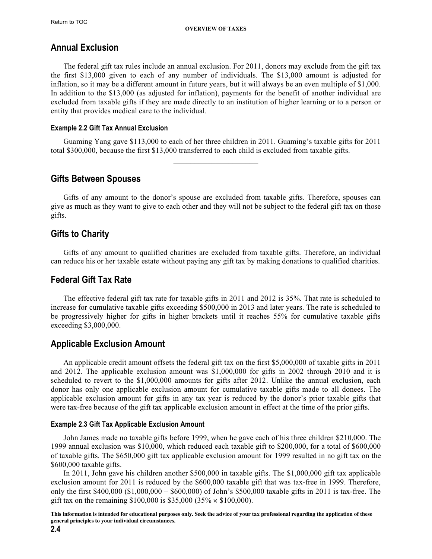### <span id="page-3-0"></span>**Annual Exclusion**

The federal gift tax rules include an annual exclusion. For 2011, donors may exclude from the gift tax the first \$13,000 given to each of any number of individuals. The \$13,000 amount is adjusted for inflation, so it may be a different amount in future years, but it will always be an even multiple of \$1,000. In addition to the \$13,000 (as adjusted for inflation), payments for the benefit of another individual are excluded from taxable gifts if they are made directly to an institution of higher learning or to a person or entity that provides medical care to the individual.

#### **Example 2.2 Gift Tax Annual Exclusion**

Guaming Yang gave \$113,000 to each of her three children in 2011. Guaming's taxable gifts for 2011 total \$300,000, because the first \$13,000 transferred to each child is excluded from taxable gifts.  $\mathcal{L}_\text{max}$  , where  $\mathcal{L}_\text{max}$  , we have the set of  $\mathcal{L}_\text{max}$ 

### **Gifts Between Spouses**

Gifts of any amount to the donor's spouse are excluded from taxable gifts. Therefore, spouses can give as much as they want to give to each other and they will not be subject to the federal gift tax on those gifts.

### **Gifts to Charity**

Gifts of any amount to qualified charities are excluded from taxable gifts. Therefore, an individual can reduce his or her taxable estate without paying any gift tax by making donations to qualified charities.

### **Federal Gift Tax Rate**

The effective federal gift tax rate for taxable gifts in 2011 and 2012 is 35%. That rate is scheduled to increase for cumulative taxable gifts exceeding \$500,000 in 2013 and later years. The rate is scheduled to be progressively higher for gifts in higher brackets until it reaches 55% for cumulative taxable gifts exceeding \$3,000,000.

### **Applicable Exclusion Amount**

An applicable credit amount offsets the federal gift tax on the first \$5,000,000 of taxable gifts in 2011 and 2012. The applicable exclusion amount was \$1,000,000 for gifts in 2002 through 2010 and it is scheduled to revert to the \$1,000,000 amounts for gifts after 2012. Unlike the annual exclusion, each donor has only one applicable exclusion amount for cumulative taxable gifts made to all donees. The applicable exclusion amount for gifts in any tax year is reduced by the donor's prior taxable gifts that were tax-free because of the gift tax applicable exclusion amount in effect at the time of the prior gifts.

#### **Example 2.3 Gift Tax Applicable Exclusion Amount**

John James made no taxable gifts before 1999, when he gave each of his three children \$210,000. The 1999 annual exclusion was \$10,000, which reduced each taxable gift to \$200,000, for a total of \$600,000 of taxable gifts. The \$650,000 gift tax applicable exclusion amount for 1999 resulted in no gift tax on the \$600,000 taxable gifts.

In 2011, John gave his children another \$500,000 in taxable gifts. The \$1,000,000 gift tax applicable exclusion amount for 2011 is reduced by the \$600,000 taxable gift that was tax-free in 1999. Therefore, only the first \$400,000 (\$1,000,000 – \$600,000) of John's \$500,000 taxable gifts in 2011 is tax-free. The gift tax on the remaining  $$100,000$  is  $$35,000$   $(35\% \times $100,000)$ .

**This information is intended for educational purposes only. Seek the advice of your tax professional regarding the application of these general principles to your individual circumstances.**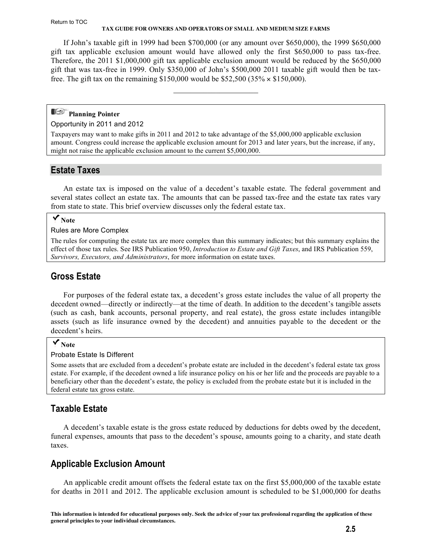#### <span id="page-4-0"></span>Return to TOC

#### **TAX GUIDE FOR OWNERS AND OPERATORS OF SMALL AND MEDIUM SIZE FARMS**

If John's taxable gift in 1999 had been \$700,000 (or any amount over \$650,000), the 1999 \$650,000 gift tax applicable exclusion amount would have allowed only the first \$650,000 to pass tax-free. Therefore, the 2011 \$1,000,000 gift tax applicable exclusion amount would be reduced by the \$650,000 gift that was tax-free in 1999. Only \$350,000 of John's \$500,000 2011 taxable gift would then be taxfree. The gift tax on the remaining \$150,000 would be \$52,500 (35%  $\times$  \$150,000).

 $\mathcal{L}_\text{max}$  , where  $\mathcal{L}_\text{max}$  , we have the set of  $\mathcal{L}_\text{max}$ 

### **Planning Pointer**

#### Opportunity in 2011 and 2012

Taxpayers may want to make gifts in 2011 and 2012 to take advantage of the \$5,000,000 applicable exclusion amount. Congress could increase the applicable exclusion amount for 2013 and later years, but the increase, if any, might not raise the applicable exclusion amount to the current \$5,000,000.

#### **Estate Taxes**

An estate tax is imposed on the value of a decedent's taxable estate. The federal government and several states collect an estate tax. The amounts that can be passed tax-free and the estate tax rates vary from state to state. This brief overview discusses only the federal estate tax.

### **Note**

#### Rules are More Complex

The rules for computing the estate tax are more complex than this summary indicates; but this summary explains the [effect of those tax rules. See IRS Publication 950,](http://www.irs.gov/pub/irs-pdf/p950.pdf) *Introduction to Estate and Gift Taxes*, a[nd IRS Publication 559,](http://www.irs.gov/pub/irs-pdf/p559.pdf)  *[Survivors, Executors, and Administrators](http://www.irs.gov/pub/irs-pdf/p559.pdf)*, for more information on estate taxes.

### **Gross Estate**

For purposes of the federal estate tax, a decedent's gross estate includes the value of all property the decedent owned—directly or indirectly—at the time of death. In addition to the decedent's tangible assets (such as cash, bank accounts, personal property, and real estate), the gross estate includes intangible assets (such as life insurance owned by the decedent) and annuities payable to the decedent or the decedent's heirs.

#### **Note**

#### Probate Estate Is Different

Some assets that are excluded from a decedent's probate estate are included in the decedent's federal estate tax gross estate. For example, if the decedent owned a life insurance policy on his or her life and the proceeds are payable to a beneficiary other than the decedent's estate, the policy is excluded from the probate estate but it is included in the federal estate tax gross estate.

### **Taxable Estate**

A decedent's taxable estate is the gross estate reduced by deductions for debts owed by the decedent, funeral expenses, amounts that pass to the decedent's spouse, amounts going to a charity, and state death taxes.

#### **Applicable Exclusion Amount**

An applicable credit amount offsets the federal estate tax on the first \$5,000,000 of the taxable estate for deaths in 2011 and 2012. The applicable exclusion amount is scheduled to be \$1,000,000 for deaths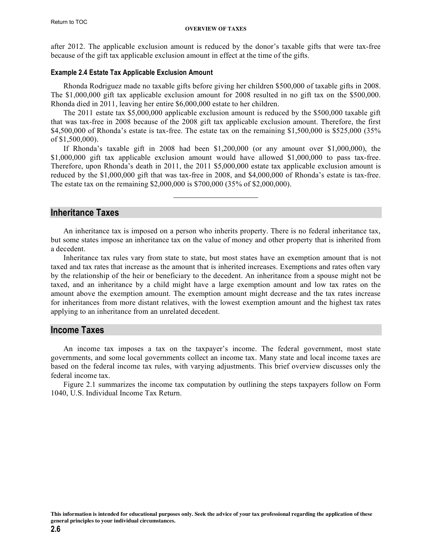<span id="page-5-0"></span>after 2012. The applicable exclusion amount is reduced by the donor's taxable gifts that were tax-free because of the gift tax applicable exclusion amount in effect at the time of the gifts.

#### **Example 2.4 Estate Tax Applicable Exclusion Amount**

Rhonda Rodriguez made no taxable gifts before giving her children \$500,000 of taxable gifts in 2008. The \$1,000,000 gift tax applicable exclusion amount for 2008 resulted in no gift tax on the \$500,000. Rhonda died in 2011, leaving her entire \$6,000,000 estate to her children.

The 2011 estate tax \$5,000,000 applicable exclusion amount is reduced by the \$500,000 taxable gift that was tax-free in 2008 because of the 2008 gift tax applicable exclusion amount. Therefore, the first \$4,500,000 of Rhonda's estate is tax-free. The estate tax on the remaining \$1,500,000 is \$525,000 (35% of \$1,500,000).

If Rhonda's taxable gift in 2008 had been \$1,200,000 (or any amount over \$1,000,000), the \$1,000,000 gift tax applicable exclusion amount would have allowed \$1,000,000 to pass tax-free. Therefore, upon Rhonda's death in 2011, the 2011 \$5,000,000 estate tax applicable exclusion amount is reduced by the \$1,000,000 gift that was tax-free in 2008, and \$4,000,000 of Rhonda's estate is tax-free. The estate tax on the remaining \$2,000,000 is \$700,000 (35% of \$2,000,000).

 $\mathcal{L}_\text{max}$  , where  $\mathcal{L}_\text{max}$  , we have the set of  $\mathcal{L}_\text{max}$ 

### **Inheritance Taxes**

An inheritance tax is imposed on a person who inherits property. There is no federal inheritance tax, but some states impose an inheritance tax on the value of money and other property that is inherited from a decedent.

Inheritance tax rules vary from state to state, but most states have an exemption amount that is not taxed and tax rates that increase as the amount that is inherited increases. Exemptions and rates often vary by the relationship of the heir or beneficiary to the decedent. An inheritance from a spouse might not be taxed, and an inheritance by a child might have a large exemption amount and low tax rates on the amount above the exemption amount. The exemption amount might decrease and the tax rates increase for inheritances from more distant relatives, with the lowest exemption amount and the highest tax rates applying to an inheritance from an unrelated decedent.

#### **Income Taxes**

An income tax imposes a tax on the taxpayer's income. The federal government, most state governments, and some local governments collect an income tax. Many state and local income taxes are based on the federal income tax rules, with varying adjustments. This brief overview discusses only the federal income tax.

Figure 2.1 summarizes the income tax computation by outlining the steps taxpayers follow on Form 1040, U.S. Individual Income Tax Return.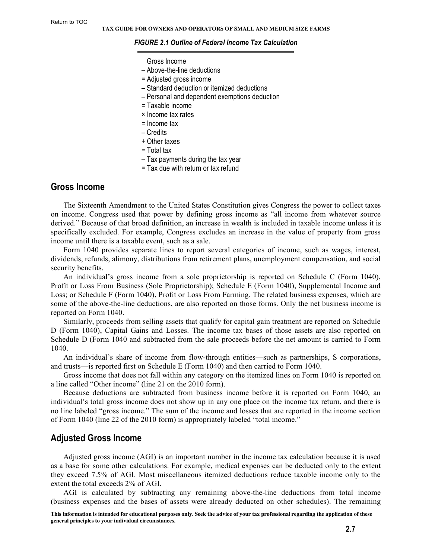#### <span id="page-6-0"></span>*FIGURE 2.1 Outline of Federal Income Tax Calculation*

Gross Income

- Above-the-line deductions
- = Adjusted gross income
- Standard deduction or itemized deductions
- Personal and dependent exemptions deduction
- = Taxable income
- × Income tax rates
- $=$  Income tax
- Credits
- + Other taxes
- = Total tax
- Tax payments during the tax year
- = Tax due with return or tax refund

#### **Gross Income**

The Sixteenth Amendment to the United States Constitution gives Congress the power to collect taxes on income. Congress used that power by defining gross income as "all income from whatever source derived." Because of that broad definition, an increase in wealth is included in taxable income unless it is specifically excluded. For example, Congress excludes an increase in the value of property from gross income until there is a taxable event, such as a sale.

Form 1040 provides separate lines to report several categories of income, such as wages, interest, dividends, refunds, alimony, distributions from retirement plans, unemployment compensation, and social security benefits.

An individual's gross income from a sole proprietorship is reported on Schedule C (Form 1040), Profit or Loss From Business (Sole Proprietorship); Schedule E (Form 1040), Supplemental Income and Loss; or Schedule F (Form 1040), Profit or Loss From Farming. The related business expenses, which are some of the above-the-line deductions, are also reported on those forms. Only the net business income is reported on Form 1040.

Similarly, proceeds from selling assets that qualify for capital gain treatment are reported on Schedule D (Form 1040), Capital Gains and Losses. The income tax bases of those assets are also reported on Schedule D (Form 1040 and subtracted from the sale proceeds before the net amount is carried to Form 1040.

An individual's share of income from flow-through entities—such as partnerships, S corporations, and trusts—is reported first on Schedule E (Form 1040) and then carried to Form 1040.

Gross income that does not fall within any category on the itemized lines on Form 1040 is reported on a line called "Other income" (line 21 on the 2010 form).

Because deductions are subtracted from business income before it is reported on Form 1040, an individual's total gross income does not show up in any one place on the income tax return, and there is no line labeled "gross income." The sum of the income and losses that are reported in the income section of Form 1040 (line 22 of the 2010 form) is appropriately labeled "total income."

#### **Adjusted Gross Income**

Adjusted gross income (AGI) is an important number in the income tax calculation because it is used as a base for some other calculations. For example, medical expenses can be deducted only to the extent they exceed 7.5% of AGI. Most miscellaneous itemized deductions reduce taxable income only to the extent the total exceeds 2% of AGI.

AGI is calculated by subtracting any remaining above-the-line deductions from total income (business expenses and the bases of assets were already deducted on other schedules). The remaining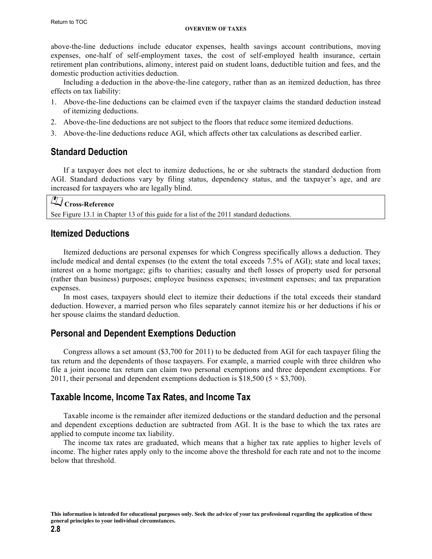#### **OVERVIEW OF TAXES**

<span id="page-7-0"></span>above-the-line deductions include educator expenses, health savings account contributions, moving expenses, one-half of self-employment taxes, the cost of self-employed health insurance, certain retirement plan contributions, alimony, interest paid on student loans, deductible tuition and fees, and the domestic production activities deduction.

Including a deduction in the above-the-line category, rather than as an itemized deduction, has three effects on tax liability:

- 1. Above-the-line deductions can be claimed even if the taxpayer claims the standard deduction instead of itemizing deductions.
- 2. Above-the-line deductions are not subject to the floors that reduce some itemized deductions.
- 3. Above-the-line deductions reduce AGI, which affects other tax calculations as described earlier.

### **Standard Deduction**

If a taxpayer does not elect to itemize deductions, he or she subtracts the standard deduction from AGI. Standard deductions vary by filing status, dependency status, and the taxpayer's age, and are increased for taxpayers who are legally blind.

## **Cross-Reference**

See Figure 13.1 in Chapter 13 of this guide for a list of the 2011 standard deductions.

#### **Itemized Deductions**

Itemized deductions are personal expenses for which Congress specifically allows a deduction. They include medical and dental expenses (to the extent the total exceeds 7.5% of AGI); state and local taxes; interest on a home mortgage; gifts to charities; casualty and theft losses of property used for personal (rather than business) purposes; employee business expenses; investment expenses; and tax preparation expenses.

In most cases, taxpayers should elect to itemize their deductions if the total exceeds their standard deduction. However, a married person who files separately cannot itemize his or her deductions if his or her spouse claims the standard deduction.

### **Personal and Dependent Exemptions Deduction**

Congress allows a set amount (\$3,700 for 2011) to be deducted from AGI for each taxpayer filing the tax return and the dependents of those taxpayers. For example, a married couple with three children who file a joint income tax return can claim two personal exemptions and three dependent exemptions. For 2011, their personal and dependent exemptions deduction is \$18,500 ( $5 \times$  \$3,700).

### **Taxable Income, Income Tax Rates, and Income Tax**

Taxable income is the remainder after itemized deductions or the standard deduction and the personal and dependent exceptions deduction are subtracted from AGI. It is the base to which the tax rates are applied to compute income tax liability.

The income tax rates are graduated, which means that a higher tax rate applies to higher levels of income. The higher rates apply only to the income above the threshold for each rate and not to the income below that threshold.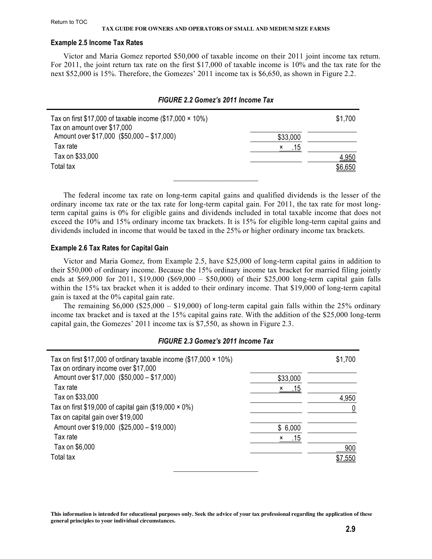#### **Example 2.5 Income Tax Rates**

Victor and Maria Gomez reported \$50,000 of taxable income on their 2011 joint income tax return. For 2011, the joint return tax rate on the first \$17,000 of taxable income is 10% and the tax rate for the next \$52,000 is 15%. Therefore, the Gomezes' 2011 income tax is \$6,650, as shown in Figure 2.2.

| FIGURE 2.2 Gomez's 2011 Income Tax                               |          |         |  |
|------------------------------------------------------------------|----------|---------|--|
| Tax on first \$17,000 of taxable income $(\$17,000 \times 10\%)$ |          | \$1,700 |  |
| Tax on amount over \$17,000                                      |          |         |  |
| Amount over \$17,000 (\$50,000 - \$17,000)                       | \$33,000 |         |  |
| Tax rate                                                         | .15<br>× |         |  |
| Tax on \$33,000                                                  |          | 4,950   |  |
| Total tax                                                        |          | \$6,650 |  |
|                                                                  |          |         |  |

The federal income tax rate on long-term capital gains and qualified dividends is the lesser of the ordinary income tax rate or the tax rate for long-term capital gain. For 2011, the tax rate for most longterm capital gains is 0% for eligible gains and dividends included in total taxable income that does not exceed the 10% and 15% ordinary income tax brackets. It is 15% for eligible long-term capital gains and dividends included in income that would be taxed in the 25% or higher ordinary income tax brackets.

#### **Example 2.6 Tax Rates for Capital Gain**

Victor and Maria Gomez, from Example 2.5, have \$25,000 of long-term capital gains in addition to their \$50,000 of ordinary income. Because the 15% ordinary income tax bracket for married filing jointly ends at  $$69,000$  for 2011, \$19,000 (\$69,000 – \$50,000) of their \$25,000 long-term capital gain falls within the 15% tax bracket when it is added to their ordinary income. That \$19,000 of long-term capital gain is taxed at the 0% capital gain rate.

The remaining  $$6,000$   $$25,000 - $19,000$  of long-term capital gain falls within the 25% ordinary income tax bracket and is taxed at the 15% capital gains rate. With the addition of the \$25,000 long-term capital gain, the Gomezes' 2011 income tax is \$7,550, as shown in Figure 2.3.

#### *FIGURE 2.3 Gomez's 2011 Income Tax*

| Tax on first \$17,000 of ordinary taxable income $(\$17,000 \times 10\%)$<br>Tax on ordinary income over \$17,000 |          | \$1,700        |
|-------------------------------------------------------------------------------------------------------------------|----------|----------------|
| Amount over \$17,000 (\$50,000 - \$17,000)                                                                        | \$33,000 |                |
| Tax rate                                                                                                          | .15<br>x |                |
| Tax on \$33,000                                                                                                   |          | 4,950          |
| Tax on first \$19,000 of capital gain (\$19,000 $\times$ 0%)                                                      |          | $\overline{0}$ |
| Tax on capital gain over \$19,000                                                                                 |          |                |
| Amount over \$19,000 (\$25,000 - \$19,000)                                                                        | \$6,000  |                |
| Tax rate                                                                                                          | .15<br>x |                |
| Tax on \$6,000                                                                                                    |          | 900            |
| Total tax                                                                                                         |          | .550           |
|                                                                                                                   |          |                |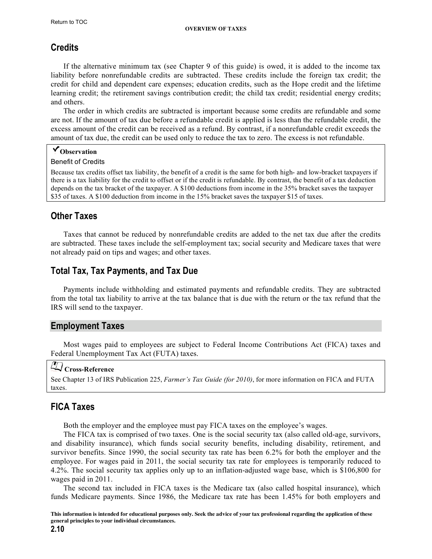### <span id="page-9-0"></span>**Credits**

If the alternative minimum tax (see Chapter 9 of this guide) is owed, it is added to the income tax liability before nonrefundable credits are subtracted. These credits include the foreign tax credit; the credit for child and dependent care expenses; education credits, such as the Hope credit and the lifetime learning credit; the retirement savings contribution credit; the child tax credit; residential energy credits; and others.

The order in which credits are subtracted is important because some credits are refundable and some are not. If the amount of tax due before a refundable credit is applied is less than the refundable credit, the excess amount of the credit can be received as a refund. By contrast, if a nonrefundable credit exceeds the amount of tax due, the credit can be used only to reduce the tax to zero. The excess is not refundable.

### **Observation**

#### Benefit of Credits

Because tax credits offset tax liability, the benefit of a credit is the same for both high- and low-bracket taxpayers if there is a tax liability for the credit to offset or if the credit is refundable. By contrast, the benefit of a tax deduction depends on the tax bracket of the taxpayer. A \$100 deductions from income in the 35% bracket saves the taxpayer \$35 of taxes. A \$100 deduction from income in the 15% bracket saves the taxpayer \$15 of taxes.

### **Other Taxes**

Taxes that cannot be reduced by nonrefundable credits are added to the net tax due after the credits are subtracted. These taxes include the self-employment tax; social security and Medicare taxes that were not already paid on tips and wages; and other taxes.

### **Total Tax, Tax Payments, and Tax Due**

Payments include withholding and estimated payments and refundable credits. They are subtracted from the total tax liability to arrive at the tax balance that is due with the return or the tax refund that the IRS will send to the taxpayer.

### **Employment Taxes**

Most wages paid to employees are subject to Federal Income Contributions Act (FICA) taxes and Federal Unemployment Tax Act (FUTA) taxes.

# **Cross-Reference**

See Chapter 13 of IRS Publication 225, *Farmer's Tax Guide (for 2010)*[, for more information on FICA and FUTA](http://www.irs.gov/pub/irs-pdf/p225.pdf)  taxes.

### **FICA Taxes**

Both the employer and the employee must pay FICA taxes on the employee's wages.

The FICA tax is comprised of two taxes. One is the social security tax (also called old-age, survivors, and disability insurance), which funds social security benefits, including disability, retirement, and survivor benefits. Since 1990, the social security tax rate has been 6.2% for both the employer and the employee. For wages paid in 2011, the social security tax rate for employees is temporarily reduced to 4.2%. The social security tax applies only up to an inflation-adjusted wage base, which is \$106,800 for wages paid in 2011.

The second tax included in FICA taxes is the Medicare tax (also called hospital insurance), which funds Medicare payments. Since 1986, the Medicare tax rate has been 1.45% for both employers and

**This information is intended for educational purposes only. Seek the advice of your tax professional regarding the application of these general principles to your individual circumstances.**